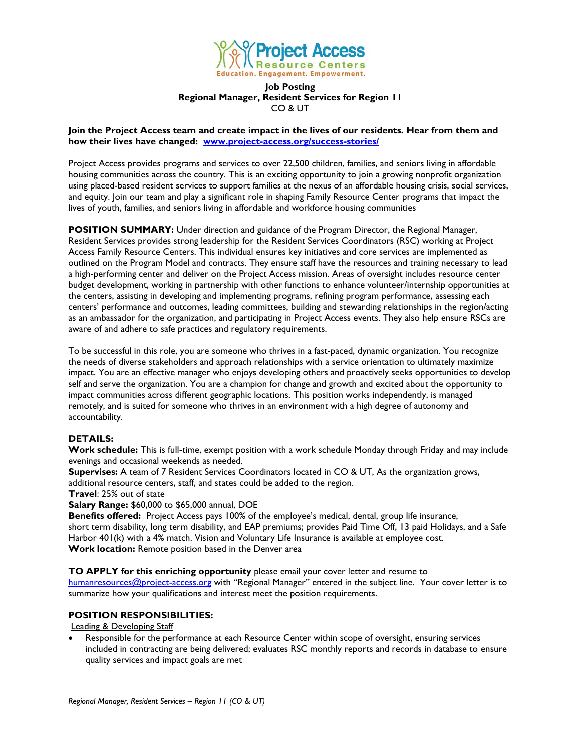

### **Job Posting Regional Manager, Resident Services for Region 11** CO & UT

### **Join the Project Access team and create impact in the lives of our residents. Hear from them and how their lives have changed: [www.project-access.org/success-stories/](http://www.project-access.org/success-stories/)**

Project Access provides programs and services to over 22,500 children, families, and seniors living in affordable housing communities across the country. This is an exciting opportunity to join a growing nonprofit organization using placed-based resident services to support families at the nexus of an affordable housing crisis, social services, and equity. Join our team and play a significant role in shaping Family Resource Center programs that impact the lives of youth, families, and seniors living in affordable and workforce housing communities

**POSITION SUMMARY:** Under direction and guidance of the Program Director, the Regional Manager, Resident Services provides strong leadership for the Resident Services Coordinators (RSC) working at Project Access Family Resource Centers. This individual ensures key initiatives and core services are implemented as outlined on the Program Model and contracts. They ensure staff have the resources and training necessary to lead a high-performing center and deliver on the Project Access mission. Areas of oversight includes resource center budget development, working in partnership with other functions to enhance volunteer/internship opportunities at the centers, assisting in developing and implementing programs, refining program performance, assessing each centers' performance and outcomes, leading committees, building and stewarding relationships in the region/acting as an ambassador for the organization, and participating in Project Access events. They also help ensure RSCs are aware of and adhere to safe practices and regulatory requirements.

To be successful in this role, you are someone who thrives in a fast-paced, dynamic organization. You recognize the needs of diverse stakeholders and approach relationships with a service orientation to ultimately maximize impact. You are an effective manager who enjoys developing others and proactively seeks opportunities to develop self and serve the organization. You are a champion for change and growth and excited about the opportunity to impact communities across different geographic locations. This position works independently, is managed remotely, and is suited for someone who thrives in an environment with a high degree of autonomy and accountability.

# **DETAILS:**

**Work schedule:** This is full-time, exempt position with a work schedule Monday through Friday and may include evenings and occasional weekends as needed.

**Supervises:** A team of 7 Resident Services Coordinators located in CO & UT, As the organization grows, additional resource centers, staff, and states could be added to the region.

**Travel**: 25% out of state

**Salary Range:** \$60,000 to \$65,000 annual, DOE

**Benefits offered:** Project Access pays 100% of the employee's medical, dental, group life insurance, short term disability, long term disability, and EAP premiums; provides Paid Time Off, 13 paid Holidays, and a Safe Harbor 401(k) with a 4% match. Vision and Voluntary Life Insurance is available at employee cost. **Work location:** Remote position based in the Denver area

**TO APPLY for this enriching opportunity** please email your cover letter and resume to

[humanresources@project-access.org](mailto:humanresources@project-access.org) with "Regional Manager" entered in the subject line. Your cover letter is to summarize how your qualifications and interest meet the position requirements.

# **POSITION RESPONSIBILITIES:**

Leading & Developing Staff

• Responsible for the performance at each Resource Center within scope of oversight, ensuring services included in contracting are being delivered; evaluates RSC monthly reports and records in database to ensure quality services and impact goals are met